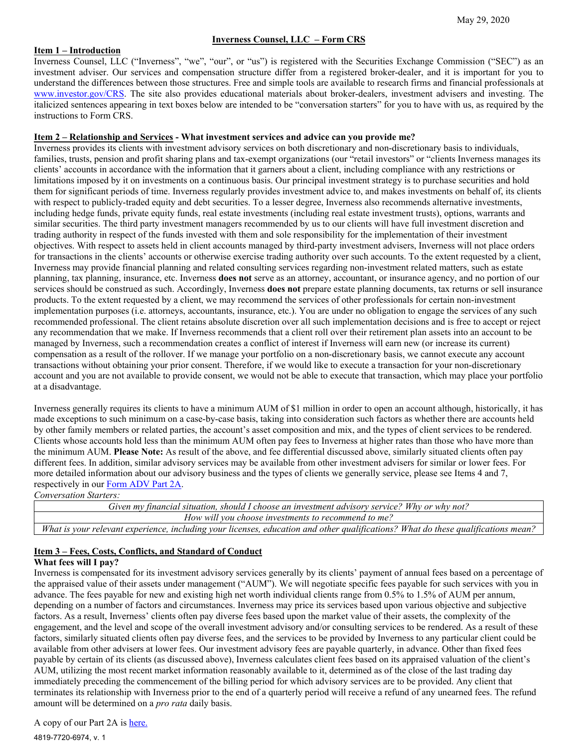## **Inverness Counsel, LLC – Form CRS**

#### **Item 1 – Introduction**

Inverness Counsel, LLC ("Inverness", "we", "our", or "us") is registered with the Securities Exchange Commission ("SEC") as an investment adviser. Our services and compensation structure differ from a registered broker-dealer, and it is important for you to understand the differences between those structures. Free and simple tools are available to research firms and financial professionals at [www.investor.gov/CRS.](http://www.investor.gov/CRS) The site also provides educational materials about broker-dealers, investment advisers and investing. The italicized sentences appearing in text boxes below are intended to be "conversation starters" for you to have with us, as required by the instructions to Form CRS.

#### **Item 2 – Relationship and Services - What investment services and advice can you provide me?**

Inverness provides its clients with investment advisory services on both discretionary and non-discretionary basis to individuals, families, trusts, pension and profit sharing plans and tax-exempt organizations (our "retail investors" or "clients Inverness manages its clients' accounts in accordance with the information that it garners about a client, including compliance with any restrictions or limitations imposed by it on investments on a continuous basis. Our principal investment strategy is to purchase securities and hold them for significant periods of time. Inverness regularly provides investment advice to, and makes investments on behalf of, its clients with respect to publicly-traded equity and debt securities. To a lesser degree, Inverness also recommends alternative investments, including hedge funds, private equity funds, real estate investments (including real estate investment trusts), options, warrants and similar securities. The third party investment managers recommended by us to our clients will have full investment discretion and trading authority in respect of the funds invested with them and sole responsibility for the implementation of their investment objectives. With respect to assets held in client accounts managed by third-party investment advisers, Inverness will not place orders for transactions in the clients' accounts or otherwise exercise trading authority over such accounts. To the extent requested by a client, Inverness may provide financial planning and related consulting services regarding non-investment related matters, such as estate planning, tax planning, insurance, etc. Inverness **does not** serve as an attorney, accountant, or insurance agency, and no portion of our services should be construed as such. Accordingly, Inverness **does not** prepare estate planning documents, tax returns or sell insurance products. To the extent requested by a client, we may recommend the services of other professionals for certain non-investment implementation purposes (i.e. attorneys, accountants, insurance, etc.). You are under no obligation to engage the services of any such recommended professional. The client retains absolute discretion over all such implementation decisions and is free to accept or reject any recommendation that we make. If Inverness recommends that a client roll over their retirement plan assets into an account to be managed by Inverness, such a recommendation creates a conflict of interest if Inverness will earn new (or increase its current) compensation as a result of the rollover. If we manage your portfolio on a non-discretionary basis, we cannot execute any account transactions without obtaining your prior consent. Therefore, if we would like to execute a transaction for your non-discretionary account and you are not available to provide consent, we would not be able to execute that transaction, which may place your portfolio at a disadvantage.

Inverness generally requires its clients to have a minimum AUM of \$1 million in order to open an account although, historically, it has made exceptions to such minimum on a case-by-case basis, taking into consideration such factors as whether there are accounts held by other family members or related parties, the account's asset composition and mix, and the types of client services to be rendered. Clients whose accounts hold less than the minimum AUM often pay fees to Inverness at higher rates than those who have more than the minimum AUM. **Please Note:** As result of the above, and fee differential discussed above, similarly situated clients often pay different fees. In addition, similar advisory services may be available from other investment advisers for similar or lower fees. For more detailed information about our advisory business and the types of clients we generally service, please see Items 4 and 7, respectively in our [Form ADV Part 2A.](https://files.adviserinfo.sec.gov/IAPD/Content/Common/crd_iapd_Brochure.aspx?BRCHR_VRSN_ID=620328)

*Conversation Starters:*

| Given my financial situation, should I choose an investment advisory service? Why or why not?                                     |
|-----------------------------------------------------------------------------------------------------------------------------------|
| How will you choose investments to recommend to me?                                                                               |
| What is your relevant experience, including your licenses, education and other qualifications? What do these qualifications mean? |

# **Item 3 – Fees, Costs, Conflicts, and Standard of Conduct**

## **What fees will I pay?**

Inverness is compensated for its investment advisory services generally by its clients' payment of annual fees based on a percentage of the appraised value of their assets under management ("AUM"). We will negotiate specific fees payable for such services with you in advance. The fees payable for new and existing high net worth individual clients range from 0.5% to 1.5% of AUM per annum, depending on a number of factors and circumstances. Inverness may price its services based upon various objective and subjective factors. As a result, Inverness' clients often pay diverse fees based upon the market value of their assets, the complexity of the engagement, and the level and scope of the overall investment advisory and/or consulting services to be rendered. As a result of these factors, similarly situated clients often pay diverse fees, and the services to be provided by Inverness to any particular client could be available from other advisers at lower fees. Our investment advisory fees are payable quarterly, in advance. Other than fixed fees payable by certain of its clients (as discussed above), Inverness calculates client fees based on its appraised valuation of the client's AUM, utilizing the most recent market information reasonably available to it, determined as of the close of the last trading day immediately preceding the commencement of the billing period for which advisory services are to be provided. Any client that terminates its relationship with Inverness prior to the end of a quarterly period will receive a refund of any unearned fees. The refund amount will be determined on a *pro rata* daily basis.

A copy of our Part 2A is [here.](https://files.adviserinfo.sec.gov/IAPD/Content/Common/crd_iapd_Brochure.aspx?BRCHR_VRSN_ID=620328)